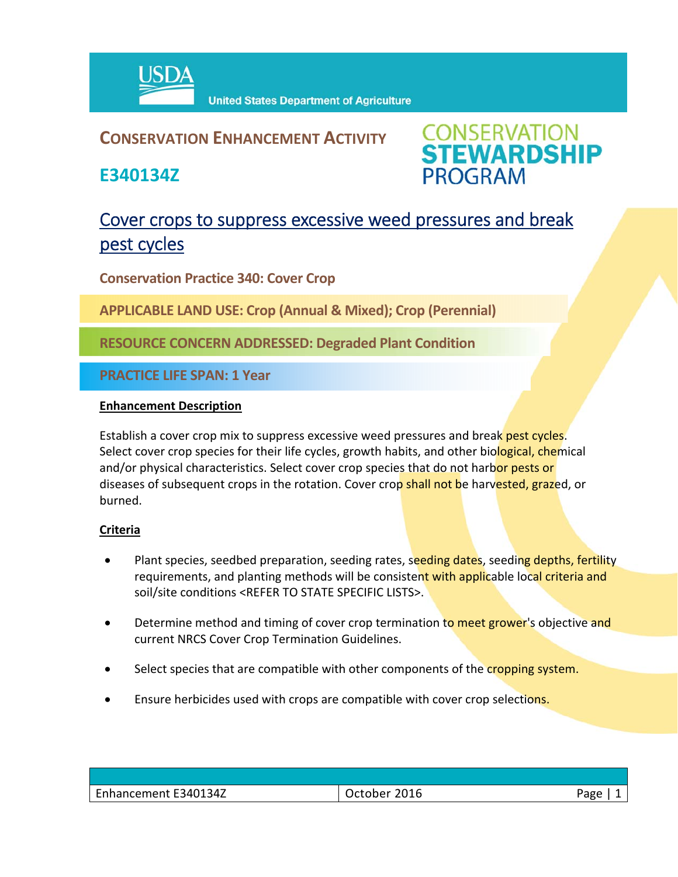

### **CONSERVATION ENHANCEMENT ACTIVITY**

**E340134Z**



## Cover crops to suppress excessive weed pressures and break pest cycles

**Conservation Practice 340: Cover Crop** 

**APPLICABLE LAND USE: Crop (Annual & Mixed); Crop (Perennial)**

**RESOURCE CONCERN ADDRESSED: Degraded Plant Condition**

**PRACTICE LIFE SPAN: 1 Year**

#### **Enhancement Description**

Establish a cover crop mix to suppress excessive weed pressures and break pest cycles. Select cover crop species for their life cycles, growth habits, and other biological, chemical and/or physical characteristics. Select cover crop species that do not harbor pests or diseases of subsequent crops in the rotation. Cover crop shall not be harvested, grazed, or burned.

#### **Criteria**

- Plant species, seedbed preparation, seeding rates, seeding dates, seeding depths, fertility requirements, and planting methods will be consistent with applicable local criteria and soil/site conditions <REFER TO STATE SPECIFIC LISTS>.
- Determine method and timing of cover crop termination to meet grower's objective and current NRCS Cover Crop Termination Guidelines.
- Select species that are compatible with other components of the cropping system.
- Ensure herbicides used with crops are compatible with cover crop selections.

| Enhancement E340134Z | 2016<br>October | Page |
|----------------------|-----------------|------|